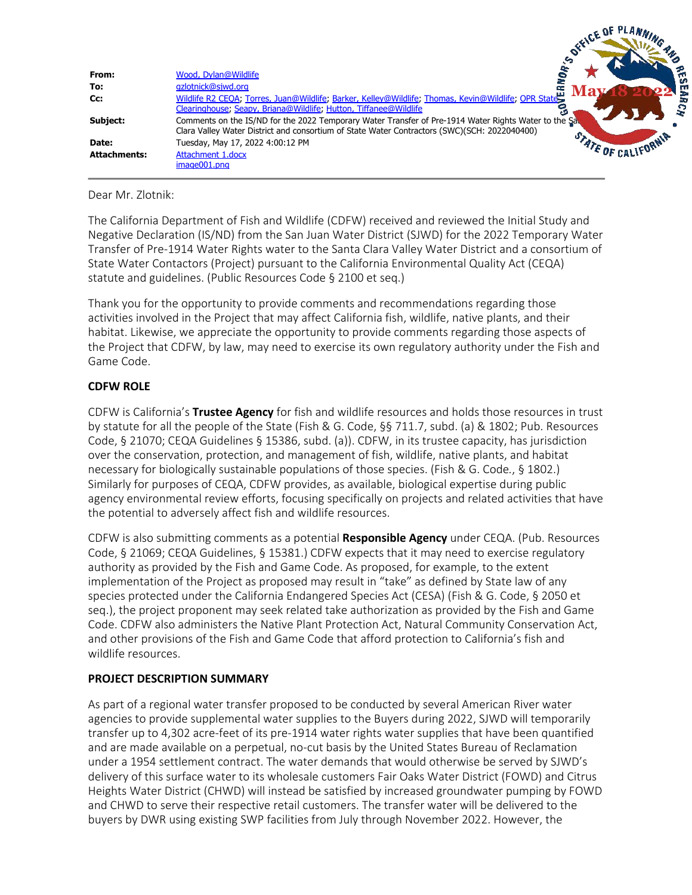| From:               | Wood, Dylan@Wildlife                                                                                                                                                                                  |
|---------------------|-------------------------------------------------------------------------------------------------------------------------------------------------------------------------------------------------------|
| To:                 | gzlotnick@sjwd.org                                                                                                                                                                                    |
| Cc:                 | Wildlife R2 CEQA, Torres, Juan@Wildlife, Barker, Kelley@Wildlife, Thomas, Kevin@Wildlife, OPR State<br>Clearinghouse; Seapy, Briana@Wildlife; Hutton, Tiffanee@Wildlife                               |
| Subject:            | Comments on the IS/ND for the 2022 Temporary Water Transfer of Pre-1914 Water Rights Water to the Sa.<br>Clara Valley Water District and consortium of State Water Contractors (SWC)(SCH: 2022040400) |
| Date:               | STATE OF CALIFORNI<br>Tuesday, May 17, 2022 4:00:12 PM                                                                                                                                                |
| <b>Attachments:</b> | Attachment 1.docx                                                                                                                                                                                     |
|                     | image001.png                                                                                                                                                                                          |

**ICE OF PLANNIN** 

Dear Mr. Zlotnik:

The California Department of Fish and Wildlife (CDFW) received and reviewed the Initial Study and Negative Declaration (IS/ND) from the San Juan Water District (SJWD) for the 2022 Temporary Water Transfer of Pre-1914 Water Rights water to the Santa Clara Valley Water District and a consortium of State Water Contactors (Project) pursuant to the California Environmental Quality Act (CEQA) statute and guidelines. (Public Resources Code § 2100 et seq.)

Thank you for the opportunity to provide comments and recommendations regarding those activities involved in the Project that may affect California fish, wildlife, native plants, and their habitat. Likewise, we appreciate the opportunity to provide comments regarding those aspects of the Project that CDFW, by law, may need to exercise its own regulatory authority under the Fish and Game Code.

### **CDFW ROLE**

CDFW is California's **Trustee Agency** for fish and wildlife resources and holds those resources in trust by statute for all the people of the State (Fish & G. Code, §§ 711.7, subd. (a) & 1802; Pub. Resources Code, § 21070; CEQA Guidelines § 15386, subd. (a)). CDFW, in its trustee capacity, has jurisdiction over the conservation, protection, and management of fish, wildlife, native plants, and habitat necessary for biologically sustainable populations of those species. (Fish & G. Code*.*, § 1802.) Similarly for purposes of CEQA, CDFW provides, as available, biological expertise during public agency environmental review efforts, focusing specifically on projects and related activities that have the potential to adversely affect fish and wildlife resources.

CDFW is also submitting comments as a potential **Responsible Agency** under CEQA. (Pub. Resources Code, § 21069; CEQA Guidelines, § 15381.) CDFW expects that it may need to exercise regulatory authority as provided by the Fish and Game Code. As proposed, for example, to the extent implementation of the Project as proposed may result in "take" as defined by State law of any species protected under the California Endangered Species Act (CESA) (Fish & G. Code, § 2050 et seq.), the project proponent may seek related take authorization as provided by the Fish and Game Code. CDFW also administers the Native Plant Protection Act, Natural Community Conservation Act, and other provisions of the Fish and Game Code that afford protection to California's fish and wildlife resources.

### **PROJECT DESCRIPTION SUMMARY**

As part of a regional water transfer proposed to be conducted by several American River water agencies to provide supplemental water supplies to the Buyers during 2022, SJWD will temporarily transfer up to 4,302 acre-feet of its pre-1914 water rights water supplies that have been quantified and are made available on a perpetual, no-cut basis by the United States Bureau of Reclamation under a 1954 settlement contract. The water demands that would otherwise be served by SJWD's delivery of this surface water to its wholesale customers Fair Oaks Water District (FOWD) and Citrus Heights Water District (CHWD) will instead be satisfied by increased groundwater pumping by FOWD and CHWD to serve their respective retail customers. The transfer water will be delivered to the buyers by DWR using existing SWP facilities from July through November 2022. However, the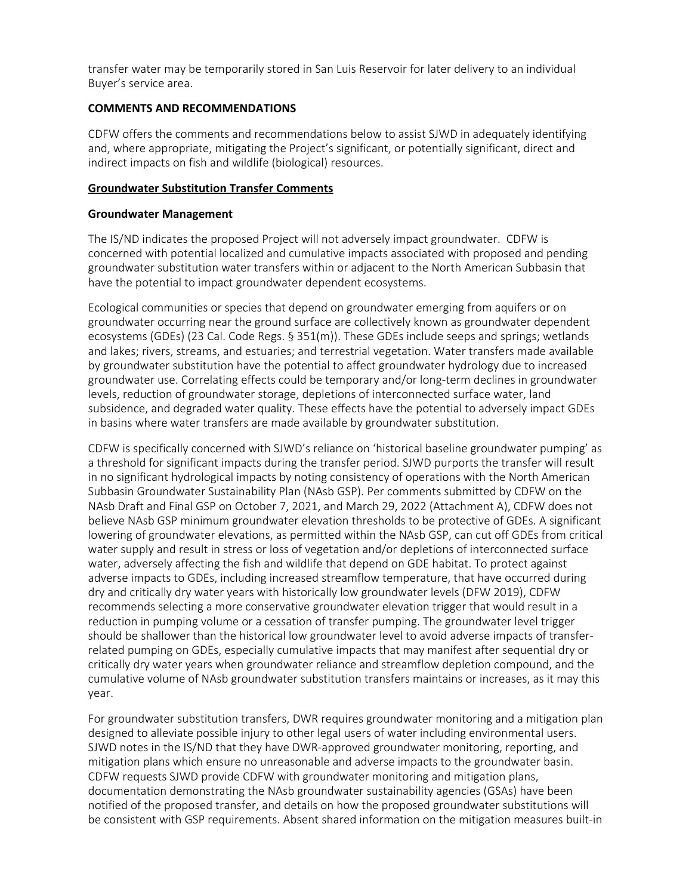transfer water may be temporarily stored in San Luis Reservoir for later delivery to an individual Buyer's service area.

#### **COMMENTS AND RECOMMENDATIONS**

CDFW offers the comments and recommendations below to assist SJWD in adequately identifying and, where appropriate, mitigating the Project's significant, or potentially significant, direct and indirect impacts on fish and wildlife (biological) resources.

#### **Groundwater Substitution Transfer Comments**

#### **Groundwater Management**

The IS/ND indicates the proposed Project will not adversely impact groundwater. CDFW is concerned with potential localized and cumulative impacts associated with proposed and pending groundwater substitution water transfers within or adjacent to the North American Subbasin that have the potential to impact groundwater dependent ecosystems.

Ecological communities or species that depend on groundwater emerging from aquifers or on groundwater occurring near the ground surface are collectively known as groundwater dependent ecosystems (GDEs) (23 Cal. Code Regs. § 351(m)). These GDEs include seeps and springs; wetlands and lakes; rivers, streams, and estuaries; and terrestrial vegetation. Water transfers made available by groundwater substitution have the potential to affect groundwater hydrology due to increased groundwater use. Correlating effects could be temporary and/or long-term declines in groundwater levels, reduction of groundwater storage, depletions of interconnected surface water, land subsidence, and degraded water quality. These effects have the potential to adversely impact GDEs in basins where water transfers are made available by groundwater substitution.

CDFW is specifically concerned with SJWD's reliance on 'historical baseline groundwater pumping' as a threshold for significant impacts during the transfer period. SJWD purports the transfer will result in no significant hydrological impacts by noting consistency of operations with the North American Subbasin Groundwater Sustainability Plan (NAsb GSP). Per comments submitted by CDFW on the NAsb Draft and Final GSP on October 7, 2021, and March 29, 2022 (Attachment A), CDFW does not believe NAsb GSP minimum groundwater elevation thresholds to be protective of GDEs. A significant lowering of groundwater elevations, as permitted within the NAsb GSP, can cut off GDEs from critical water supply and result in stress or loss of vegetation and/or depletions of interconnected surface water, adversely affecting the fish and wildlife that depend on GDE habitat. To protect against adverse impacts to GDEs, including increased streamflow temperature, that have occurred during dry and critically dry water years with historically low groundwater levels (DFW 2019), CDFW recommends selecting a more conservative groundwater elevation trigger that would result in a reduction in pumping volume or a cessation of transfer pumping. The groundwater level trigger should be shallower than the historical low groundwater level to avoid adverse impacts of transferrelated pumping on GDEs, especially cumulative impacts that may manifest after sequential dry or critically dry water years when groundwater reliance and streamflow depletion compound, and the cumulative volume of NAsb groundwater substitution transfers maintains or increases, as it may this year.

For groundwater substitution transfers, DWR requires groundwater monitoring and a mitigation plan designed to alleviate possible injury to other legal users of water including environmental users. SJWD notes in the IS/ND that they have DWR-approved groundwater monitoring, reporting, and mitigation plans which ensure no unreasonable and adverse impacts to the groundwater basin. CDFW requests SJWD provide CDFW with groundwater monitoring and mitigation plans, documentation demonstrating the NAsb groundwater sustainability agencies (GSAs) have been notified of the proposed transfer, and details on how the proposed groundwater substitutions will be consistent with GSP requirements. Absent shared information on the mitigation measures built-in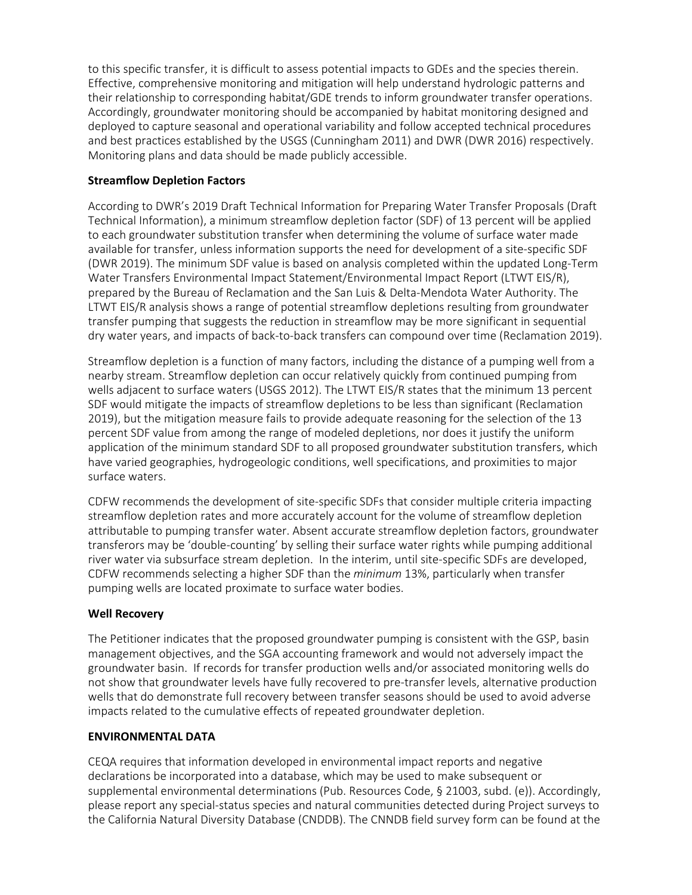to this specific transfer, it is difficult to assess potential impacts to GDEs and the species therein. Effective, comprehensive monitoring and mitigation will help understand hydrologic patterns and their relationship to corresponding habitat/GDE trends to inform groundwater transfer operations. Accordingly, groundwater monitoring should be accompanied by habitat monitoring designed and deployed to capture seasonal and operational variability and follow accepted technical procedures and best practices established by the USGS (Cunningham 2011) and DWR (DWR 2016) respectively. Monitoring plans and data should be made publicly accessible.

#### **Streamflow Depletion Factors**

According to DWR's 2019 Draft Technical Information for Preparing Water Transfer Proposals (Draft Technical Information), a minimum streamflow depletion factor (SDF) of 13 percent will be applied to each groundwater substitution transfer when determining the volume of surface water made available for transfer, unless information supports the need for development of a site-specific SDF (DWR 2019). The minimum SDF value is based on analysis completed within the updated Long-Term Water Transfers Environmental Impact Statement/Environmental Impact Report (LTWT EIS/R), prepared by the Bureau of Reclamation and the San Luis & Delta-Mendota Water Authority. The LTWT EIS/R analysis shows a range of potential streamflow depletions resulting from groundwater transfer pumping that suggests the reduction in streamflow may be more significant in sequential dry water years, and impacts of back-to-back transfers can compound over time (Reclamation 2019).

Streamflow depletion is a function of many factors, including the distance of a pumping well from a nearby stream. Streamflow depletion can occur relatively quickly from continued pumping from wells adjacent to surface waters (USGS 2012). The LTWT EIS/R states that the minimum 13 percent SDF would mitigate the impacts of streamflow depletions to be less than significant (Reclamation 2019), but the mitigation measure fails to provide adequate reasoning for the selection of the 13 percent SDF value from among the range of modeled depletions, nor does it justify the uniform application of the minimum standard SDF to all proposed groundwater substitution transfers, which have varied geographies, hydrogeologic conditions, well specifications, and proximities to major surface waters.

CDFW recommends the development of site-specific SDFs that consider multiple criteria impacting streamflow depletion rates and more accurately account for the volume of streamflow depletion attributable to pumping transfer water. Absent accurate streamflow depletion factors, groundwater transferors may be 'double-counting' by selling their surface water rights while pumping additional river water via subsurface stream depletion. In the interim, until site-specific SDFs are developed, CDFW recommends selecting a higher SDF than the *minimum* 13%, particularly when transfer pumping wells are located proximate to surface water bodies.

#### **Well Recovery**

The Petitioner indicates that the proposed groundwater pumping is consistent with the GSP, basin management objectives, and the SGA accounting framework and would not adversely impact the groundwater basin. If records for transfer production wells and/or associated monitoring wells do not show that groundwater levels have fully recovered to pre-transfer levels, alternative production wells that do demonstrate full recovery between transfer seasons should be used to avoid adverse impacts related to the cumulative effects of repeated groundwater depletion.

#### **ENVIRONMENTAL DATA**

CEQA requires that information developed in environmental impact reports and negative declarations be incorporated into a database, which may be used to make subsequent or supplemental environmental determinations (Pub. Resources Code, § 21003, subd. (e)). Accordingly, please report any special-status species and natural communities detected during Project surveys to the California Natural Diversity Database (CNDDB). The CNNDB field survey form can be found at the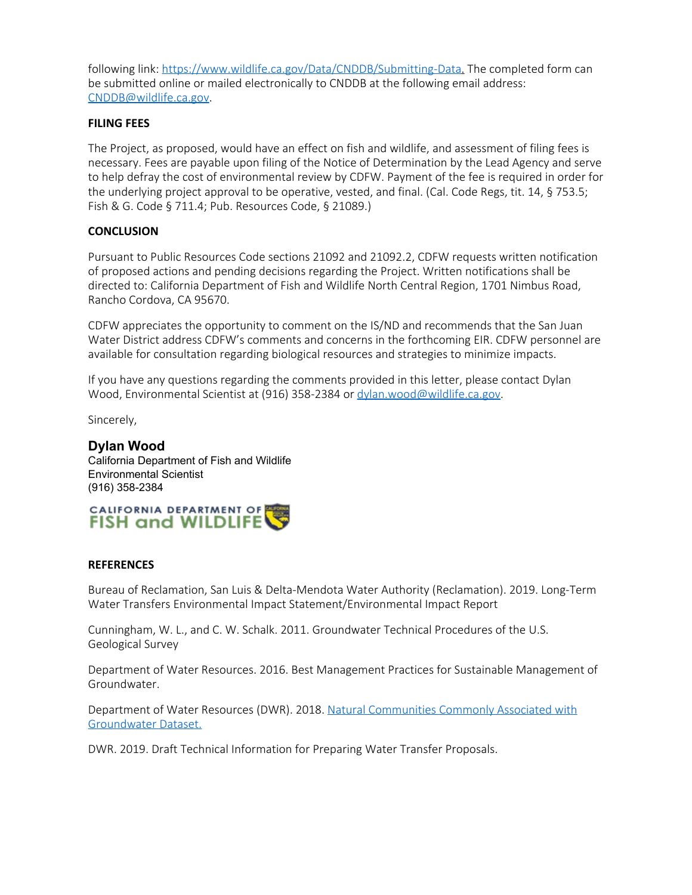following link:<https://www.wildlife.ca.gov/Data/CNDDB/Submitting-Data>. The completed form can be submitted online or mailed electronically to CNDDB at the following email address: [CNDDB@wildlife.ca.gov](mailto:cnddb@dfg.ca.gov).

#### **FILING FEES**

The Project, as proposed, would have an effect on fish and wildlife, and assessment of filing fees is necessary. Fees are payable upon filing of the Notice of Determination by the Lead Agency and serve to help defray the cost of environmental review by CDFW. Payment of the fee is required in order for the underlying project approval to be operative, vested, and final. (Cal. Code Regs, tit. 14, § 753.5; Fish & G. Code § 711.4; Pub. Resources Code, § 21089.)

#### **CONCLUSION**

Pursuant to Public Resources Code sections 21092 and 21092.2, CDFW requests written notification of proposed actions and pending decisions regarding the Project. Written notifications shall be directed to: California Department of Fish and Wildlife North Central Region, 1701 Nimbus Road, Rancho Cordova, CA 95670.

CDFW appreciates the opportunity to comment on the IS/ND and recommends that the San Juan Water District address CDFW's comments and concerns in the forthcoming EIR. CDFW personnel are available for consultation regarding biological resources and strategies to minimize impacts.

If you have any questions regarding the comments provided in this letter, please contact Dylan Wood, Environmental Scientist at (916) 358-2384 or [dylan.wood@wildlife.ca.gov.](mailto:dylan.wood@wildlife.ca.gov)

Sincerely,

**Dylan Wood** California Department of Fish and Wildlife Environmental Scientist (916) 358-2384



#### **REFERENCES**

Bureau of Reclamation, San Luis & Delta-Mendota Water Authority (Reclamation). 2019. Long-Term Water Transfers Environmental Impact Statement/Environmental Impact Report

Cunningham, W. L., and C. W. Schalk. 2011. Groundwater Technical Procedures of the U.S. Geological Survey

Department of Water Resources. 2016. Best Management Practices for Sustainable Management of Groundwater.

Department of Water Resources (DWR). 2018. [Natural Communities Commonly Associated with](https://gcc02.safelinks.protection.outlook.com/?url=https%3A%2F%2Fgis.water.ca.gov%2Fapp%2FNCDatasetViewer%2F&data=04%7C01%7CBridget.Gibbons%40Wildlife.ca.gov%7Ce8eb28944bdf40eab2bb08da0b7058fe%7C4b633c25efbf40069f1507442ba7aa0b%7C0%7C0%7C637834874396818343%7CUnknown%7CTWFpbGZsb3d8eyJWIjoiMC4wLjAwMDAiLCJQIjoiV2luMzIiLCJBTiI6Ik1haWwiLCJXVCI6Mn0%3D%7C3000&sdata=kuK5pxAHkRXTTURmjm1UcsdjEg%2BMJJPMxTuEFG3Mo%2BM%3D&reserved=0) [Groundwater Dataset.](https://gcc02.safelinks.protection.outlook.com/?url=https%3A%2F%2Fgis.water.ca.gov%2Fapp%2FNCDatasetViewer%2F&data=04%7C01%7CBridget.Gibbons%40Wildlife.ca.gov%7Ce8eb28944bdf40eab2bb08da0b7058fe%7C4b633c25efbf40069f1507442ba7aa0b%7C0%7C0%7C637834874396818343%7CUnknown%7CTWFpbGZsb3d8eyJWIjoiMC4wLjAwMDAiLCJQIjoiV2luMzIiLCJBTiI6Ik1haWwiLCJXVCI6Mn0%3D%7C3000&sdata=kuK5pxAHkRXTTURmjm1UcsdjEg%2BMJJPMxTuEFG3Mo%2BM%3D&reserved=0)

DWR. 2019. Draft Technical Information for Preparing Water Transfer Proposals.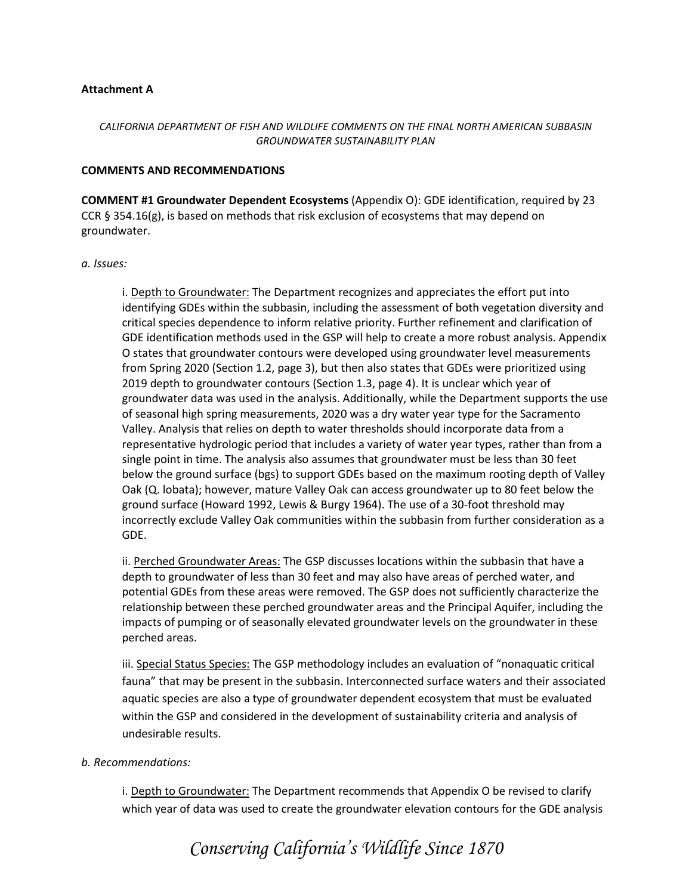#### **Attachment A**

#### *CALIFORNIA DEPARTMENT OF FISH AND WILDLIFE COMMENTS ON THE FINAL NORTH AMERICAN SUBBASIN GROUNDWATER SUSTAINABILITY PLAN*

#### **COMMENTS AND RECOMMENDATIONS**

**COMMENT #1 Groundwater Dependent Ecosystems** (Appendix O): GDE identification, required by 23 CCR  $\S$  354.16(g), is based on methods that risk exclusion of ecosystems that may depend on groundwater.

#### *a. Issues:*

i. Depth to Groundwater: The Department recognizes and appreciates the effort put into identifying GDEs within the subbasin, including the assessment of both vegetation diversity and critical species dependence to inform relative priority. Further refinement and clarification of GDE identification methods used in the GSP will help to create a more robust analysis. Appendix O states that groundwater contours were developed using groundwater level measurements from Spring 2020 (Section 1.2, page 3), but then also states that GDEs were prioritized using 2019 depth to groundwater contours (Section 1.3, page 4). It is unclear which year of groundwater data was used in the analysis. Additionally, while the Department supports the use of seasonal high spring measurements, 2020 was a dry water year type for the Sacramento Valley. Analysis that relies on depth to water thresholds should incorporate data from a representative hydrologic period that includes a variety of water year types, rather than from a single point in time. The analysis also assumes that groundwater must be less than 30 feet below the ground surface (bgs) to support GDEs based on the maximum rooting depth of Valley Oak (Q. lobata); however, mature Valley Oak can access groundwater up to 80 feet below the ground surface (Howard 1992, Lewis & Burgy 1964). The use of a 30-foot threshold may incorrectly exclude Valley Oak communities within the subbasin from further consideration as a GDE.

ii. Perched Groundwater Areas: The GSP discusses locations within the subbasin that have a depth to groundwater of less than 30 feet and may also have areas of perched water, and potential GDEs from these areas were removed. The GSP does not sufficiently characterize the relationship between these perched groundwater areas and the Principal Aquifer, including the impacts of pumping or of seasonally elevated groundwater levels on the groundwater in these perched areas.

iii. Special Status Species: The GSP methodology includes an evaluation of "nonaquatic critical fauna" that may be present in the subbasin. Interconnected surface waters and their associated aquatic species are also a type of groundwater dependent ecosystem that must be evaluated within the GSP and considered in the development of sustainability criteria and analysis of undesirable results.

#### *b. Recommendations:*

i. Depth to Groundwater: The Department recommends that Appendix O be revised to clarify which year of data was used to create the groundwater elevation contours for the GDE analysis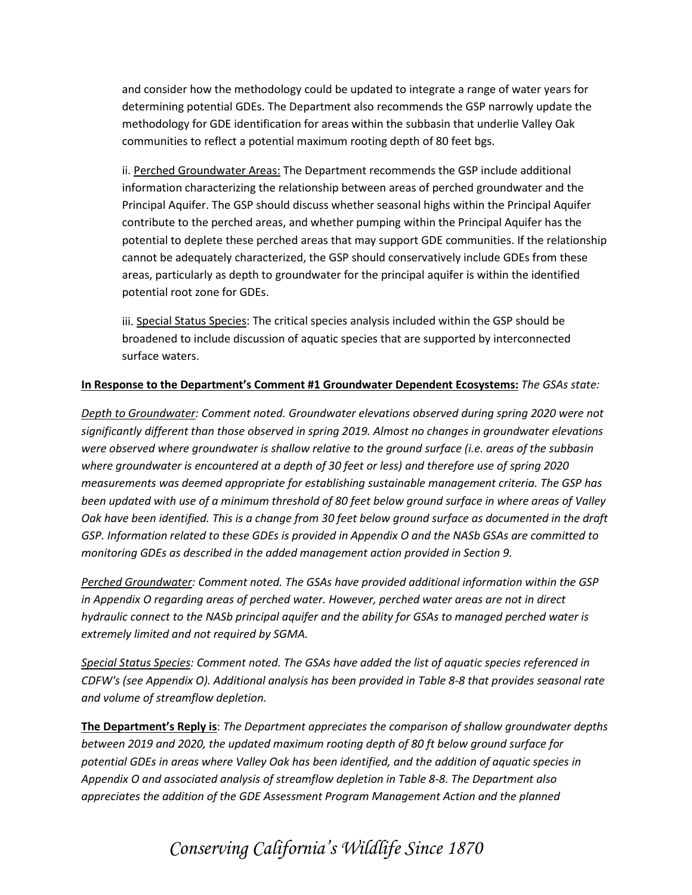and consider how the methodology could be updated to integrate a range of water years for determining potential GDEs. The Department also recommends the GSP narrowly update the methodology for GDE identification for areas within the subbasin that underlie Valley Oak communities to reflect a potential maximum rooting depth of 80 feet bgs.

ii. Perched Groundwater Areas: The Department recommends the GSP include additional information characterizing the relationship between areas of perched groundwater and the Principal Aquifer. The GSP should discuss whether seasonal highs within the Principal Aquifer contribute to the perched areas, and whether pumping within the Principal Aquifer has the potential to deplete these perched areas that may support GDE communities. If the relationship cannot be adequately characterized, the GSP should conservatively include GDEs from these areas, particularly as depth to groundwater for the principal aquifer is within the identified potential root zone for GDEs.

iii. Special Status Species: The critical species analysis included within the GSP should be broadened to include discussion of aquatic species that are supported by interconnected surface waters.

#### **In Response to the Department's Comment #1 Groundwater Dependent Ecosystems:** *The GSAs state:*

*Depth to Groundwater: Comment noted. Groundwater elevations observed during spring 2020 were not significantly different than those observed in spring 2019. Almost no changes in groundwater elevations were observed where groundwater is shallow relative to the ground surface (i.e. areas of the subbasin where groundwater is encountered at a depth of 30 feet or less) and therefore use of spring 2020 measurements was deemed appropriate for establishing sustainable management criteria. The GSP has been updated with use of a minimum threshold of 80 feet below ground surface in where areas of Valley Oak have been identified. This is a change from 30 feet below ground surface as documented in the draft GSP. Information related to these GDEs is provided in Appendix O and the NASb GSAs are committed to monitoring GDEs as described in the added management action provided in Section 9.*

*Perched Groundwater: Comment noted. The GSAs have provided additional information within the GSP in Appendix O regarding areas of perched water. However, perched water areas are not in direct hydraulic connect to the NASb principal aquifer and the ability for GSAs to managed perched water is extremely limited and not required by SGMA.*

*Special Status Species: Comment noted. The GSAs have added the list of aquatic species referenced in CDFW's (see Appendix O). Additional analysis has been provided in Table 8-8 that provides seasonal rate and volume of streamflow depletion.*

**The Department's Reply is**: *The Department appreciates the comparison of shallow groundwater depths between 2019 and 2020, the updated maximum rooting depth of 80 ft below ground surface for potential GDEs in areas where Valley Oak has been identified, and the addition of aquatic species in Appendix O and associated analysis of streamflow depletion in Table 8-8. The Department also appreciates the addition of the GDE Assessment Program Management Action and the planned*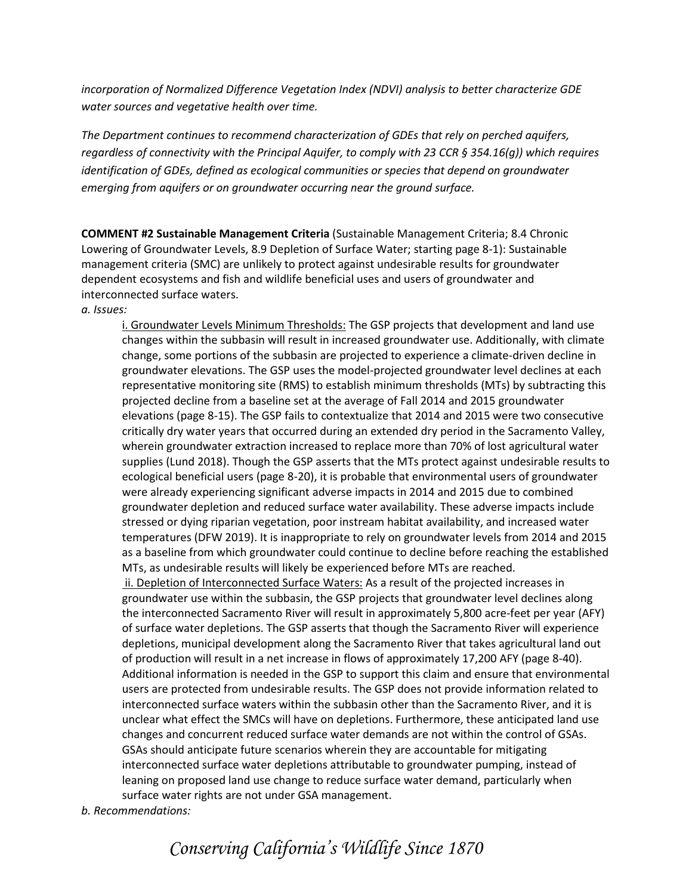*incorporation of Normalized Difference Vegetation Index (NDVI) analysis to better characterize GDE water sources and vegetative health over time.*

*The Department continues to recommend characterization of GDEs that rely on perched aquifers, regardless of connectivity with the Principal Aquifer, to comply with 23 CCR § 354.16(g)) which requires identification of GDEs, defined as ecological communities or species that depend on groundwater emerging from aquifers or on groundwater occurring near the ground surface.* 

**COMMENT #2 Sustainable Management Criteria** (Sustainable Management Criteria; 8.4 Chronic Lowering of Groundwater Levels, 8.9 Depletion of Surface Water; starting page 8-1): Sustainable management criteria (SMC) are unlikely to protect against undesirable results for groundwater dependent ecosystems and fish and wildlife beneficial uses and users of groundwater and interconnected surface waters.

*a. Issues:* 

i. Groundwater Levels Minimum Thresholds: The GSP projects that development and land use changes within the subbasin will result in increased groundwater use. Additionally, with climate change, some portions of the subbasin are projected to experience a climate-driven decline in groundwater elevations. The GSP uses the model-projected groundwater level declines at each representative monitoring site (RMS) to establish minimum thresholds (MTs) by subtracting this projected decline from a baseline set at the average of Fall 2014 and 2015 groundwater elevations (page 8-15). The GSP fails to contextualize that 2014 and 2015 were two consecutive critically dry water years that occurred during an extended dry period in the Sacramento Valley, wherein groundwater extraction increased to replace more than 70% of lost agricultural water supplies (Lund 2018). Though the GSP asserts that the MTs protect against undesirable results to ecological beneficial users (page 8-20), it is probable that environmental users of groundwater were already experiencing significant adverse impacts in 2014 and 2015 due to combined groundwater depletion and reduced surface water availability. These adverse impacts include stressed or dying riparian vegetation, poor instream habitat availability, and increased water temperatures (DFW 2019). It is inappropriate to rely on groundwater levels from 2014 and 2015 as a baseline from which groundwater could continue to decline before reaching the established MTs, as undesirable results will likely be experienced before MTs are reached.

ii. Depletion of Interconnected Surface Waters: As a result of the projected increases in groundwater use within the subbasin, the GSP projects that groundwater level declines along the interconnected Sacramento River will result in approximately 5,800 acre-feet per year (AFY) of surface water depletions. The GSP asserts that though the Sacramento River will experience depletions, municipal development along the Sacramento River that takes agricultural land out of production will result in a net increase in flows of approximately 17,200 AFY (page 8-40). Additional information is needed in the GSP to support this claim and ensure that environmental users are protected from undesirable results. The GSP does not provide information related to interconnected surface waters within the subbasin other than the Sacramento River, and it is unclear what effect the SMCs will have on depletions. Furthermore, these anticipated land use changes and concurrent reduced surface water demands are not within the control of GSAs. GSAs should anticipate future scenarios wherein they are accountable for mitigating interconnected surface water depletions attributable to groundwater pumping, instead of leaning on proposed land use change to reduce surface water demand, particularly when surface water rights are not under GSA management.

*b. Recommendations:*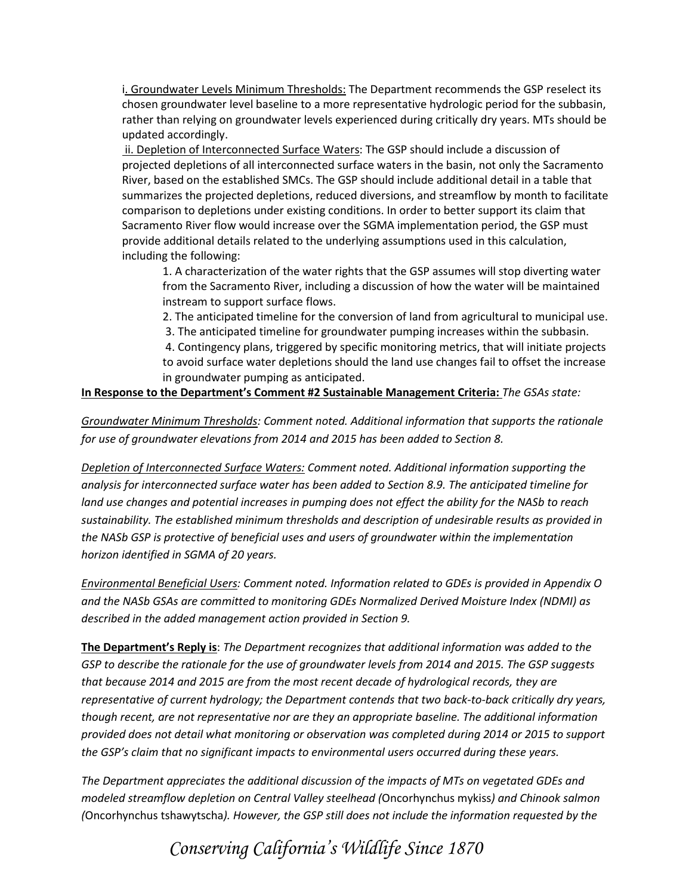i. Groundwater Levels Minimum Thresholds: The Department recommends the GSP reselect its chosen groundwater level baseline to a more representative hydrologic period for the subbasin, rather than relying on groundwater levels experienced during critically dry years. MTs should be updated accordingly.

ii. Depletion of Interconnected Surface Waters: The GSP should include a discussion of projected depletions of all interconnected surface waters in the basin, not only the Sacramento River, based on the established SMCs. The GSP should include additional detail in a table that summarizes the projected depletions, reduced diversions, and streamflow by month to facilitate comparison to depletions under existing conditions. In order to better support its claim that Sacramento River flow would increase over the SGMA implementation period, the GSP must provide additional details related to the underlying assumptions used in this calculation, including the following:

1. A characterization of the water rights that the GSP assumes will stop diverting water from the Sacramento River, including a discussion of how the water will be maintained instream to support surface flows.

2. The anticipated timeline for the conversion of land from agricultural to municipal use.

3. The anticipated timeline for groundwater pumping increases within the subbasin.

4. Contingency plans, triggered by specific monitoring metrics, that will initiate projects to avoid surface water depletions should the land use changes fail to offset the increase in groundwater pumping as anticipated.

### **In Response to the Department's Comment #2 Sustainable Management Criteria:** *The GSAs state:*

*Groundwater Minimum Thresholds: Comment noted. Additional information that supports the rationale for use of groundwater elevations from 2014 and 2015 has been added to Section 8.*

*Depletion of Interconnected Surface Waters: Comment noted. Additional information supporting the analysis for interconnected surface water has been added to Section 8.9. The anticipated timeline for land use changes and potential increases in pumping does not effect the ability for the NASb to reach sustainability. The established minimum thresholds and description of undesirable results as provided in the NASb GSP is protective of beneficial uses and users of groundwater within the implementation horizon identified in SGMA of 20 years.*

*Environmental Beneficial Users: Comment noted. Information related to GDEs is provided in Appendix O and the NASb GSAs are committed to monitoring GDEs Normalized Derived Moisture Index (NDMI) as described in the added management action provided in Section 9.*

**The Department's Reply is**: *The Department recognizes that additional information was added to the GSP to describe the rationale for the use of groundwater levels from 2014 and 2015. The GSP suggests that because 2014 and 2015 are from the most recent decade of hydrological records, they are representative of current hydrology; the Department contends that two back-to-back critically dry years, though recent, are not representative nor are they an appropriate baseline. The additional information provided does not detail what monitoring or observation was completed during 2014 or 2015 to support the GSP's claim that no significant impacts to environmental users occurred during these years.* 

*The Department appreciates the additional discussion of the impacts of MTs on vegetated GDEs and modeled streamflow depletion on Central Valley steelhead (*Oncorhynchus mykiss*) and Chinook salmon (*Oncorhynchus tshawytscha*). However, the GSP still does not include the information requested by the*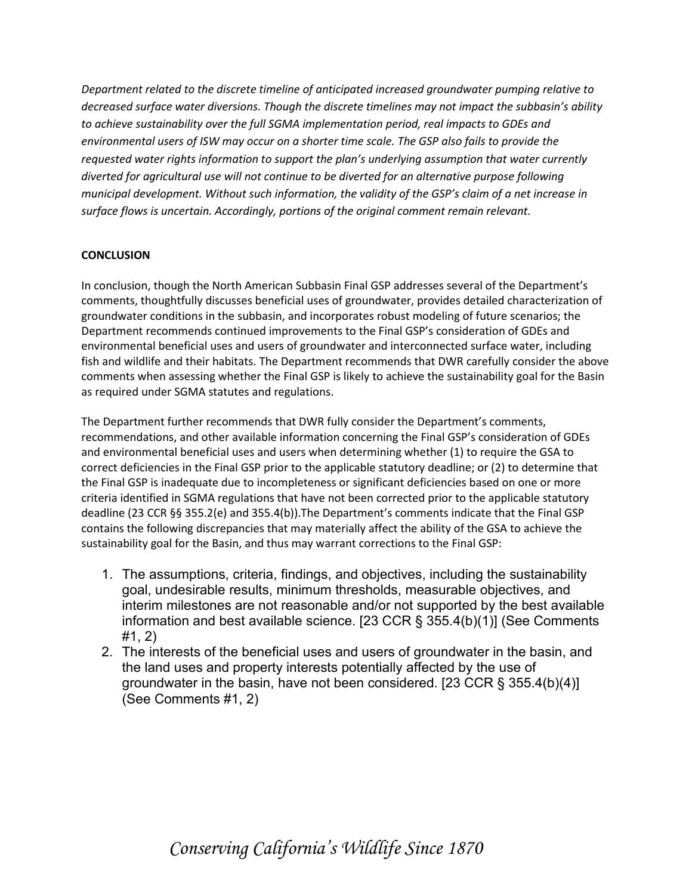*Department related to the discrete timeline of anticipated increased groundwater pumping relative to decreased surface water diversions. Though the discrete timelines may not impact the subbasin's ability to achieve sustainability over the full SGMA implementation period, real impacts to GDEs and environmental users of ISW may occur on a shorter time scale. The GSP also fails to provide the requested water rights information to support the plan's underlying assumption that water currently diverted for agricultural use will not continue to be diverted for an alternative purpose following municipal development. Without such information, the validity of the GSP's claim of a net increase in surface flows is uncertain. Accordingly, portions of the original comment remain relevant.*

### **CONCLUSION**

In conclusion, though the North American Subbasin Final GSP addresses several of the Department's comments, thoughtfully discusses beneficial uses of groundwater, provides detailed characterization of groundwater conditions in the subbasin, and incorporates robust modeling of future scenarios; the Department recommends continued improvements to the Final GSP's consideration of GDEs and environmental beneficial uses and users of groundwater and interconnected surface water, including fish and wildlife and their habitats. The Department recommends that DWR carefully consider the above comments when assessing whether the Final GSP is likely to achieve the sustainability goal for the Basin as required under SGMA statutes and regulations.

The Department further recommends that DWR fully consider the Department's comments, recommendations, and other available information concerning the Final GSP's consideration of GDEs and environmental beneficial uses and users when determining whether (1) to require the GSA to correct deficiencies in the Final GSP prior to the applicable statutory deadline; or (2) to determine that the Final GSP is inadequate due to incompleteness or significant deficiencies based on one or more criteria identified in SGMA regulations that have not been corrected prior to the applicable statutory deadline (23 CCR §§ 355.2(e) and 355.4(b)).The Department's comments indicate that the Final GSP contains the following discrepancies that may materially affect the ability of the GSA to achieve the sustainability goal for the Basin, and thus may warrant corrections to the Final GSP:

- 1. The assumptions, criteria, findings, and objectives, including the sustainability goal, undesirable results, minimum thresholds, measurable objectives, and interim milestones are not reasonable and/or not supported by the best available information and best available science. [23 CCR § 355.4(b)(1)] (See Comments #1, 2)
- 2. The interests of the beneficial uses and users of groundwater in the basin, and the land uses and property interests potentially affected by the use of groundwater in the basin, have not been considered. [23 CCR § 355.4(b)(4)] (See Comments #1, 2)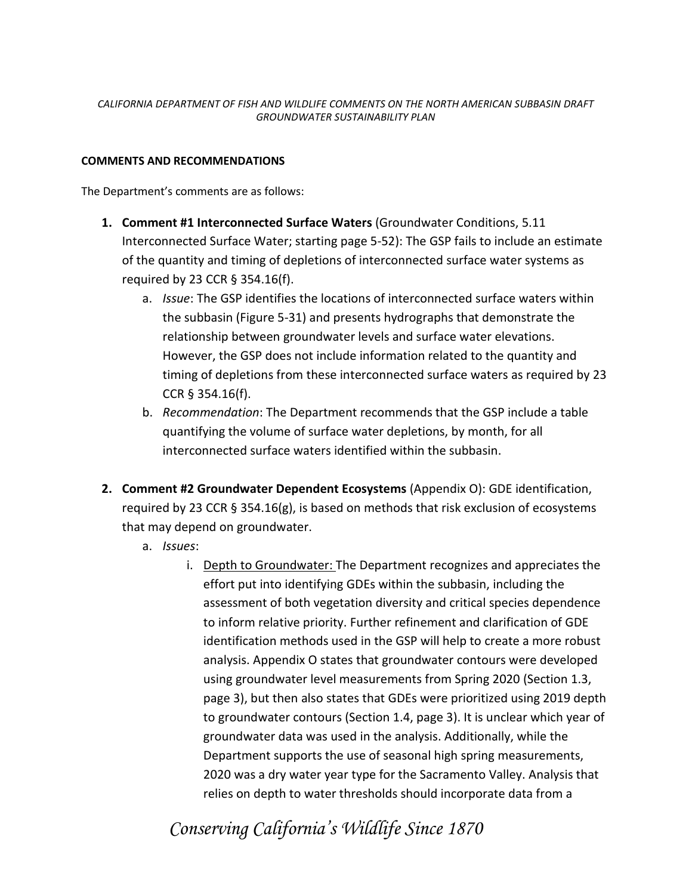#### *CALIFORNIA DEPARTMENT OF FISH AND WILDLIFE COMMENTS ON THE NORTH AMERICAN SUBBASIN DRAFT GROUNDWATER SUSTAINABILITY PLAN*

#### **COMMENTS AND RECOMMENDATIONS**

The Department's comments are as follows:

- **1. Comment #1 Interconnected Surface Waters** (Groundwater Conditions, 5.11 Interconnected Surface Water; starting page 5-52): The GSP fails to include an estimate of the quantity and timing of depletions of interconnected surface water systems as required by 23 CCR § 354.16(f).
	- a. *Issue*: The GSP identifies the locations of interconnected surface waters within the subbasin (Figure 5-31) and presents hydrographs that demonstrate the relationship between groundwater levels and surface water elevations. However, the GSP does not include information related to the quantity and timing of depletions from these interconnected surface waters as required by 23 CCR § 354.16(f).
	- b. *Recommendation*: The Department recommends that the GSP include a table quantifying the volume of surface water depletions, by month, for all interconnected surface waters identified within the subbasin.
- **2. Comment #2 Groundwater Dependent Ecosystems** (Appendix O): GDE identification, required by 23 CCR § 354.16(g), is based on methods that risk exclusion of ecosystems that may depend on groundwater.
	- a. *Issues*:
		- i. Depth to Groundwater: The Department recognizes and appreciates the effort put into identifying GDEs within the subbasin, including the assessment of both vegetation diversity and critical species dependence to inform relative priority. Further refinement and clarification of GDE identification methods used in the GSP will help to create a more robust analysis. Appendix O states that groundwater contours were developed using groundwater level measurements from Spring 2020 (Section 1.3, page 3), but then also states that GDEs were prioritized using 2019 depth to groundwater contours (Section 1.4, page 3). It is unclear which year of groundwater data was used in the analysis. Additionally, while the Department supports the use of seasonal high spring measurements, 2020 was a dry water year type for the Sacramento Valley. Analysis that relies on depth to water thresholds should incorporate data from a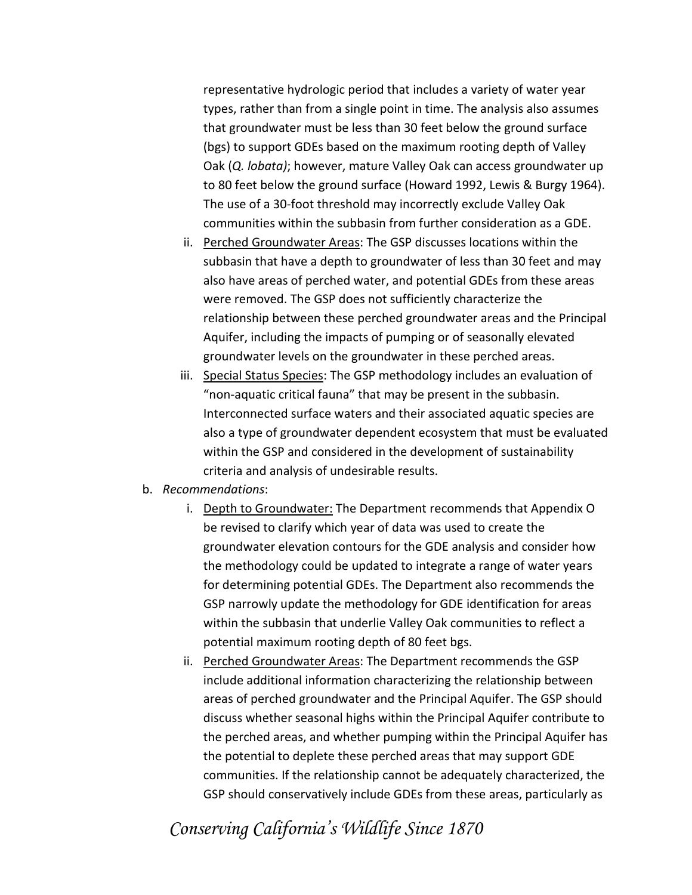representative hydrologic period that includes a variety of water year types, rather than from a single point in time. The analysis also assumes that groundwater must be less than 30 feet below the ground surface (bgs) to support GDEs based on the maximum rooting depth of Valley Oak (*Q. lobata)*; however, mature Valley Oak can access groundwater up to 80 feet below the ground surface (Howard 1992, Lewis & Burgy 1964). The use of a 30-foot threshold may incorrectly exclude Valley Oak communities within the subbasin from further consideration as a GDE.

- ii. Perched Groundwater Areas: The GSP discusses locations within the subbasin that have a depth to groundwater of less than 30 feet and may also have areas of perched water, and potential GDEs from these areas were removed. The GSP does not sufficiently characterize the relationship between these perched groundwater areas and the Principal Aquifer, including the impacts of pumping or of seasonally elevated groundwater levels on the groundwater in these perched areas.
- iii. Special Status Species: The GSP methodology includes an evaluation of "non-aquatic critical fauna" that may be present in the subbasin. Interconnected surface waters and their associated aquatic species are also a type of groundwater dependent ecosystem that must be evaluated within the GSP and considered in the development of sustainability criteria and analysis of undesirable results.

#### b. *Recommendations*:

- i. Depth to Groundwater: The Department recommends that Appendix O be revised to clarify which year of data was used to create the groundwater elevation contours for the GDE analysis and consider how the methodology could be updated to integrate a range of water years for determining potential GDEs. The Department also recommends the GSP narrowly update the methodology for GDE identification for areas within the subbasin that underlie Valley Oak communities to reflect a potential maximum rooting depth of 80 feet bgs.
- ii. Perched Groundwater Areas: The Department recommends the GSP include additional information characterizing the relationship between areas of perched groundwater and the Principal Aquifer. The GSP should discuss whether seasonal highs within the Principal Aquifer contribute to the perched areas, and whether pumping within the Principal Aquifer has the potential to deplete these perched areas that may support GDE communities. If the relationship cannot be adequately characterized, the GSP should conservatively include GDEs from these areas, particularly as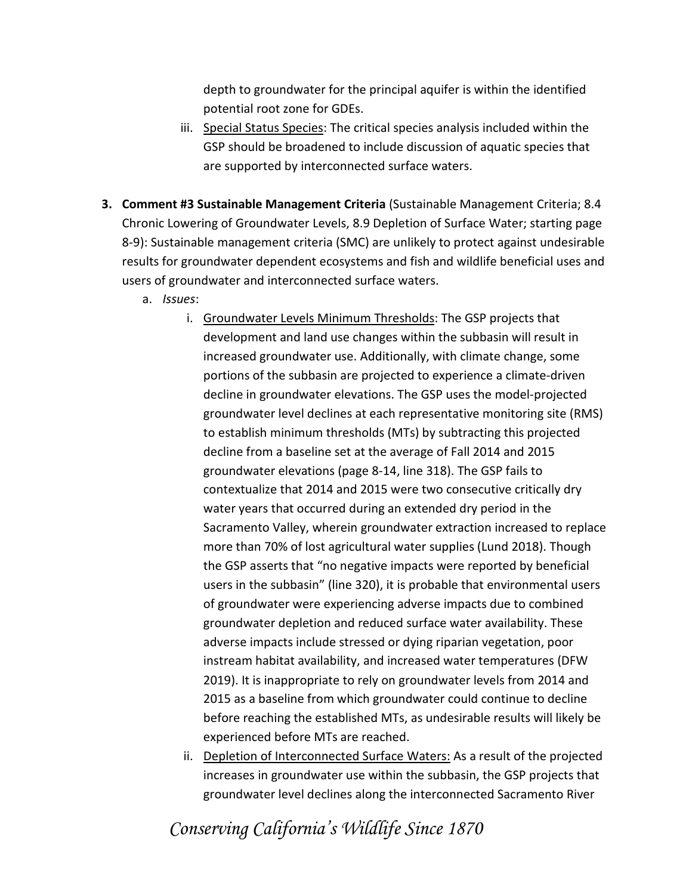depth to groundwater for the principal aquifer is within the identified potential root zone for GDEs.

- iii. Special Status Species: The critical species analysis included within the GSP should be broadened to include discussion of aquatic species that are supported by interconnected surface waters.
- **3. Comment #3 Sustainable Management Criteria** (Sustainable Management Criteria; 8.4 Chronic Lowering of Groundwater Levels, 8.9 Depletion of Surface Water; starting page 8-9): Sustainable management criteria (SMC) are unlikely to protect against undesirable results for groundwater dependent ecosystems and fish and wildlife beneficial uses and users of groundwater and interconnected surface waters.
	- a. *Issues*:
		- i. Groundwater Levels Minimum Thresholds: The GSP projects that development and land use changes within the subbasin will result in increased groundwater use. Additionally, with climate change, some portions of the subbasin are projected to experience a climate-driven decline in groundwater elevations. The GSP uses the model-projected groundwater level declines at each representative monitoring site (RMS) to establish minimum thresholds (MTs) by subtracting this projected decline from a baseline set at the average of Fall 2014 and 2015 groundwater elevations (page 8-14, line 318). The GSP fails to contextualize that 2014 and 2015 were two consecutive critically dry water years that occurred during an extended dry period in the Sacramento Valley, wherein groundwater extraction increased to replace more than 70% of lost agricultural water supplies (Lund 2018). Though the GSP asserts that "no negative impacts were reported by beneficial users in the subbasin" (line 320), it is probable that environmental users of groundwater were experiencing adverse impacts due to combined groundwater depletion and reduced surface water availability. These adverse impacts include stressed or dying riparian vegetation, poor instream habitat availability, and increased water temperatures (DFW 2019). It is inappropriate to rely on groundwater levels from 2014 and 2015 as a baseline from which groundwater could continue to decline before reaching the established MTs, as undesirable results will likely be experienced before MTs are reached.
		- ii. Depletion of Interconnected Surface Waters: As a result of the projected increases in groundwater use within the subbasin, the GSP projects that groundwater level declines along the interconnected Sacramento River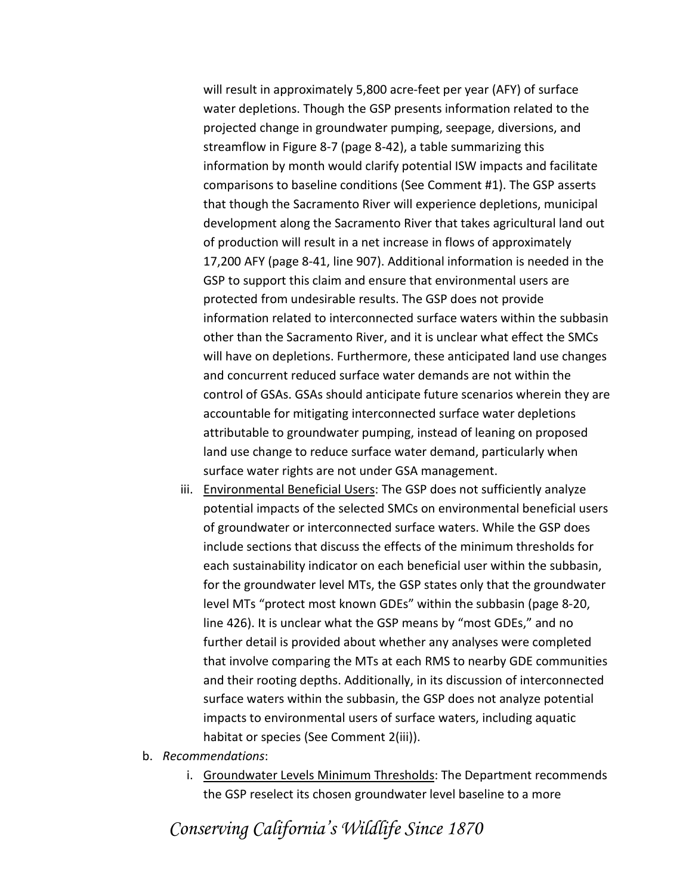will result in approximately 5,800 acre-feet per year (AFY) of surface water depletions. Though the GSP presents information related to the projected change in groundwater pumping, seepage, diversions, and streamflow in Figure 8-7 (page 8-42), a table summarizing this information by month would clarify potential ISW impacts and facilitate comparisons to baseline conditions (See Comment #1). The GSP asserts that though the Sacramento River will experience depletions, municipal development along the Sacramento River that takes agricultural land out of production will result in a net increase in flows of approximately 17,200 AFY (page 8-41, line 907). Additional information is needed in the GSP to support this claim and ensure that environmental users are protected from undesirable results. The GSP does not provide information related to interconnected surface waters within the subbasin other than the Sacramento River, and it is unclear what effect the SMCs will have on depletions. Furthermore, these anticipated land use changes and concurrent reduced surface water demands are not within the control of GSAs. GSAs should anticipate future scenarios wherein they are accountable for mitigating interconnected surface water depletions attributable to groundwater pumping, instead of leaning on proposed land use change to reduce surface water demand, particularly when surface water rights are not under GSA management.

- iii. Environmental Beneficial Users: The GSP does not sufficiently analyze potential impacts of the selected SMCs on environmental beneficial users of groundwater or interconnected surface waters. While the GSP does include sections that discuss the effects of the minimum thresholds for each sustainability indicator on each beneficial user within the subbasin, for the groundwater level MTs, the GSP states only that the groundwater level MTs "protect most known GDEs" within the subbasin (page 8-20, line 426). It is unclear what the GSP means by "most GDEs," and no further detail is provided about whether any analyses were completed that involve comparing the MTs at each RMS to nearby GDE communities and their rooting depths. Additionally, in its discussion of interconnected surface waters within the subbasin, the GSP does not analyze potential impacts to environmental users of surface waters, including aquatic habitat or species (See Comment 2(iii)).
- b. *Recommendations*:
	- i. Groundwater Levels Minimum Thresholds: The Department recommends the GSP reselect its chosen groundwater level baseline to a more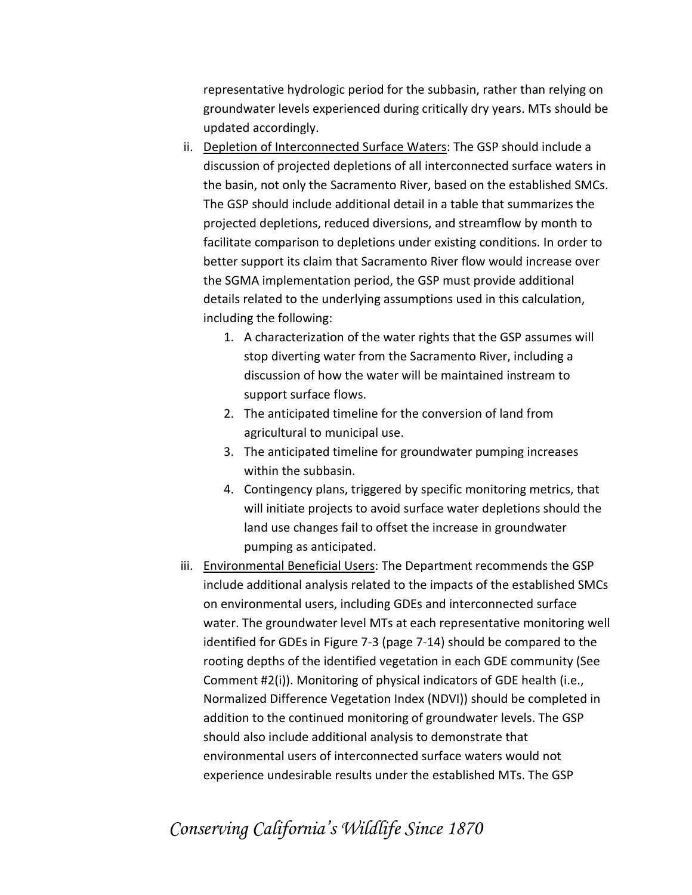representative hydrologic period for the subbasin, rather than relying on groundwater levels experienced during critically dry years. MTs should be updated accordingly.

- ii. Depletion of Interconnected Surface Waters: The GSP should include a discussion of projected depletions of all interconnected surface waters in the basin, not only the Sacramento River, based on the established SMCs. The GSP should include additional detail in a table that summarizes the projected depletions, reduced diversions, and streamflow by month to facilitate comparison to depletions under existing conditions. In order to better support its claim that Sacramento River flow would increase over the SGMA implementation period, the GSP must provide additional details related to the underlying assumptions used in this calculation, including the following:
	- 1. A characterization of the water rights that the GSP assumes will stop diverting water from the Sacramento River, including a discussion of how the water will be maintained instream to support surface flows.
	- 2. The anticipated timeline for the conversion of land from agricultural to municipal use.
	- 3. The anticipated timeline for groundwater pumping increases within the subbasin.
	- 4. Contingency plans, triggered by specific monitoring metrics, that will initiate projects to avoid surface water depletions should the land use changes fail to offset the increase in groundwater pumping as anticipated.
- iii. Environmental Beneficial Users: The Department recommends the GSP include additional analysis related to the impacts of the established SMCs on environmental users, including GDEs and interconnected surface water. The groundwater level MTs at each representative monitoring well identified for GDEs in Figure 7-3 (page 7-14) should be compared to the rooting depths of the identified vegetation in each GDE community (See Comment #2(i)). Monitoring of physical indicators of GDE health (i.e., Normalized Difference Vegetation Index (NDVI)) should be completed in addition to the continued monitoring of groundwater levels. The GSP should also include additional analysis to demonstrate that environmental users of interconnected surface waters would not experience undesirable results under the established MTs. The GSP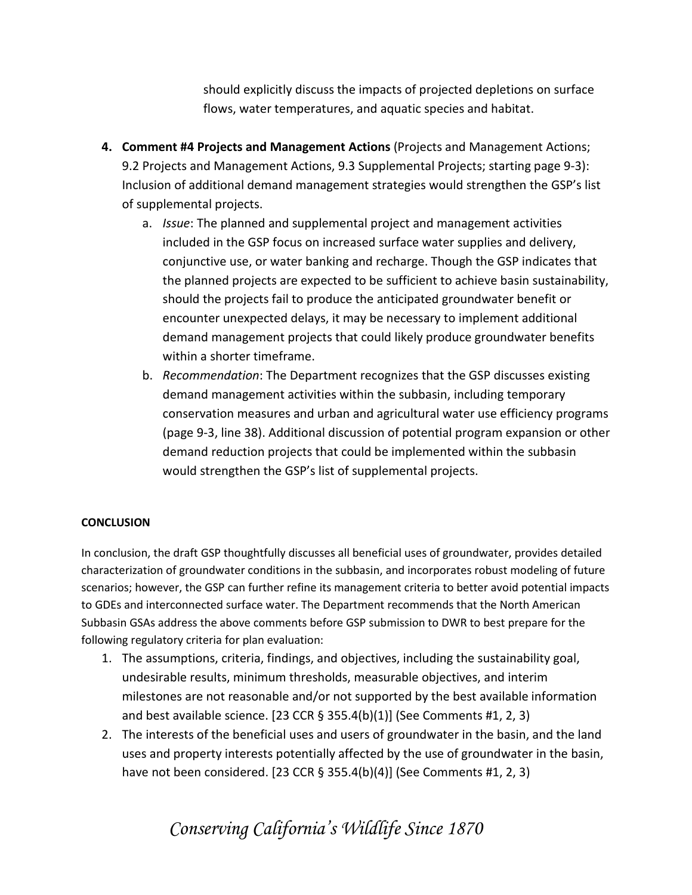should explicitly discuss the impacts of projected depletions on surface flows, water temperatures, and aquatic species and habitat.

- **4. Comment #4 Projects and Management Actions** (Projects and Management Actions; 9.2 Projects and Management Actions, 9.3 Supplemental Projects; starting page 9-3): Inclusion of additional demand management strategies would strengthen the GSP's list of supplemental projects.
	- a. *Issue*: The planned and supplemental project and management activities included in the GSP focus on increased surface water supplies and delivery, conjunctive use, or water banking and recharge. Though the GSP indicates that the planned projects are expected to be sufficient to achieve basin sustainability, should the projects fail to produce the anticipated groundwater benefit or encounter unexpected delays, it may be necessary to implement additional demand management projects that could likely produce groundwater benefits within a shorter timeframe.
	- b. *Recommendation*: The Department recognizes that the GSP discusses existing demand management activities within the subbasin, including temporary conservation measures and urban and agricultural water use efficiency programs (page 9-3, line 38). Additional discussion of potential program expansion or other demand reduction projects that could be implemented within the subbasin would strengthen the GSP's list of supplemental projects.

### **CONCLUSION**

In conclusion, the draft GSP thoughtfully discusses all beneficial uses of groundwater, provides detailed characterization of groundwater conditions in the subbasin, and incorporates robust modeling of future scenarios; however, the GSP can further refine its management criteria to better avoid potential impacts to GDEs and interconnected surface water. The Department recommends that the North American Subbasin GSAs address the above comments before GSP submission to DWR to best prepare for the following regulatory criteria for plan evaluation:

- 1. The assumptions, criteria, findings, and objectives, including the sustainability goal, undesirable results, minimum thresholds, measurable objectives, and interim milestones are not reasonable and/or not supported by the best available information and best available science. [23 CCR  $\S$  355.4(b)(1)] (See Comments #1, 2, 3)
- 2. The interests of the beneficial uses and users of groundwater in the basin, and the land uses and property interests potentially affected by the use of groundwater in the basin, have not been considered. [23 CCR § 355.4(b)(4)] (See Comments #1, 2, 3)